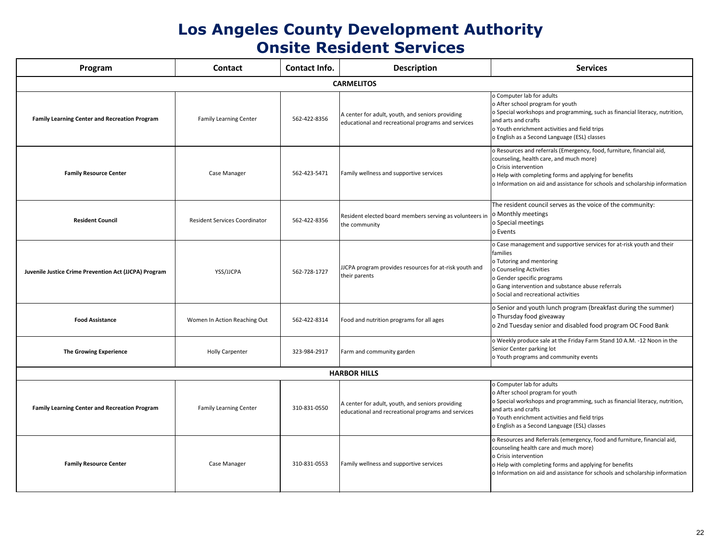## **Los Angeles County Development Authority Onsite Resident Services**

| Program                                                      | <b>Contact</b>                       | Contact Info. | <b>Description</b>                                                                                     | <b>Services</b>                                                                                                                                                                                                                      |  |  |  |
|--------------------------------------------------------------|--------------------------------------|---------------|--------------------------------------------------------------------------------------------------------|--------------------------------------------------------------------------------------------------------------------------------------------------------------------------------------------------------------------------------------|--|--|--|
| <b>CARMELITOS</b>                                            |                                      |               |                                                                                                        |                                                                                                                                                                                                                                      |  |  |  |
| <b>Family Learning Center and Recreation Program</b>         | <b>Family Learning Center</b>        | 562-422-8356  | A center for adult, youth, and seniors providing<br>educational and recreational programs and services | o Computer lab for adults<br>o After school program for youth<br>o Special workshops and programming, such a<br>and arts and crafts<br>o Youth enrichment activities and field trips<br>o English as a Second Language (ESL) classes |  |  |  |
| <b>Family Resource Center</b>                                | Case Manager                         | 562-423-5471  | Family wellness and supportive services                                                                | o Resources and referrals (Emergency, food, f<br>counseling, health care, and much more)<br>o Crisis intervention<br>o Help with completing forms and applying fo<br>o Information on aid and assistance for schoo                   |  |  |  |
| <b>Resident Council</b>                                      | <b>Resident Services Coordinator</b> | 562-422-8356  | Resident elected board members serving as volunteers in<br>the community                               | The resident council serves as the voice of<br>o Monthly meetings<br>lo Special meetings<br>lo Events                                                                                                                                |  |  |  |
| <b>Juvenile Justice Crime Prevention Act (JJCPA) Program</b> | YSS/JJCPA                            | 562-728-1727  | JJCPA program provides resources for at-risk youth and<br>their parents                                | o Case management and supportive services<br>families<br>o Tutoring and mentoring<br>o Counseling Activities<br>o Gender specific programs<br>o Gang intervention and substance abuse refe<br>o Social and recreational activities   |  |  |  |
| <b>Food Assistance</b>                                       | Women In Action Reaching Out         | 562-422-8314  | Food and nutrition programs for all ages                                                               | o Senior and youth lunch program (breakf<br>o Thursday food giveaway<br>o 2nd Tuesday senior and disabled food pr                                                                                                                    |  |  |  |
| <b>The Growing Experience</b>                                | <b>Holly Carpenter</b>               | 323-984-2917  | Farm and community garden                                                                              | o Weekly produce sale at the Friday Farm Sta<br>Senior Center parking lot<br>o Youth programs and community events                                                                                                                   |  |  |  |
|                                                              |                                      |               | <b>HARBOR HILLS</b>                                                                                    |                                                                                                                                                                                                                                      |  |  |  |
| <b>Family Learning Center and Recreation Program</b>         | <b>Family Learning Center</b>        | 310-831-0550  | A center for adult, youth, and seniors providing<br>educational and recreational programs and services | o Computer lab for adults<br>o After school program for youth<br>o Special workshops and programming, such a<br>and arts and crafts<br>o Youth enrichment activities and field trips<br>o English as a Second Language (ESL) classes |  |  |  |
| <b>Family Resource Center</b>                                | Case Manager                         | 310-831-0553  | Family wellness and supportive services                                                                | o Resources and Referrals (emergency, food a<br>counseling health care and much more)<br>o Crisis intervention<br>o Help with completing forms and applying fo<br>o Information on aid and assistance for schoo                      |  |  |  |



- ter lab for adults
- chool program for youth
- workshops and programming, such as financial literacy, nutrition, and crafts
- enrichment activities and field trips
- as a Second Language (ESL) classes
- ces and referrals (Emergency, food, furniture, financial aid, g, health care, and much more)
- **itervention**
- th completing forms and applying for benefits
- ation on aid and assistance for schools and scholarship information

dent council serves as the voice of the community: ly meetings meetings

anagement and supportive services for at-risk youth and their

- g and mentoring
- ling Activities
- specific programs
- tervention and substance abuse referrals
- nd recreational activities
- and youth lunch program (breakfast during the summer) lay food giveaway
- esday senior and disabled food program OC Food Bank
- produce sale at the Friday Farm Stand 10 A.M. -12 Noon in the nter parking lot
- orograms and community events
- ter lab for adults
- chool program for youth
- workshops and programming, such as financial literacy, nutrition, and crafts
- enrichment activities and field trips
- as a Second Language (ESL) classes
- ces and Referrals (emergency, food and furniture, financial aid, g health care and much more)
- **itervention**
- th completing forms and applying for benefits
- ation on aid and assistance for schools and scholarship information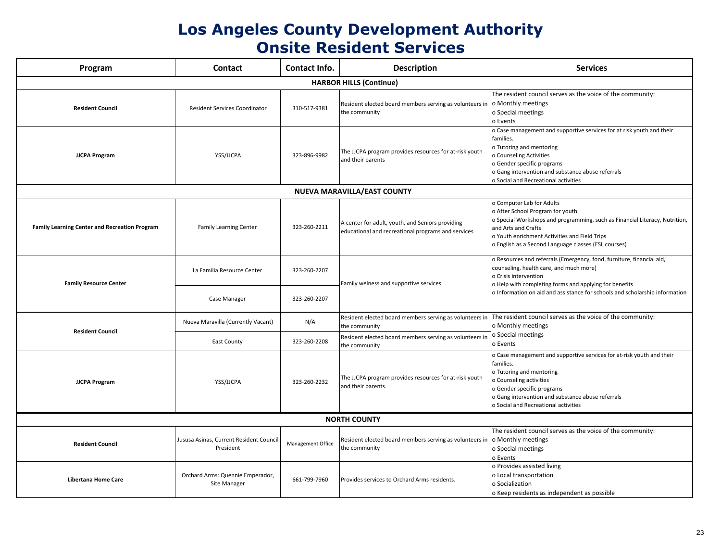### **Los Angeles County Development Authority Onsite Resident Services**

| Program                                              | <b>Contact</b>                                       | <b>Contact Info.</b> | <b>Description</b>                                                                                     | <b>Services</b>                                                                                                                                                                                                                       |  |  |  |
|------------------------------------------------------|------------------------------------------------------|----------------------|--------------------------------------------------------------------------------------------------------|---------------------------------------------------------------------------------------------------------------------------------------------------------------------------------------------------------------------------------------|--|--|--|
| <b>HARBOR HILLS (Continue)</b>                       |                                                      |                      |                                                                                                        |                                                                                                                                                                                                                                       |  |  |  |
| <b>Resident Council</b>                              | <b>Resident Services Coordinator</b>                 | 310-517-9381         | Resident elected board members serving as volunteers in   o Monthly meetings<br>the community          | The resident council serves as the voice of<br>o Special meetings<br>o Events                                                                                                                                                         |  |  |  |
| <b>JJCPA Program</b>                                 | YSS/JJCPA                                            | 323-896-9982         | The JJCPA program provides resources for at-risk youth<br>and their parents                            | o Case management and supportive services t<br>families.<br>o Tutoring and mentoring<br>o Counseling Activities<br>o Gender specific programs<br>o Gang intervention and substance abuse refe<br>o Social and Recreational activities |  |  |  |
| NUEVA MARAVILLA/EAST COUNTY                          |                                                      |                      |                                                                                                        |                                                                                                                                                                                                                                       |  |  |  |
| <b>Family Learning Center and Recreation Program</b> | <b>Family Learning Center</b>                        | 323-260-2211         | A center for adult, youth, and Seniors providing<br>educational and recreational programs and services | o Computer Lab for Adults<br>o After School Program for youth<br>o Special Workshops and programming, such<br>and Arts and Crafts<br>o Youth enrichment Activities and Field Trips<br>o English as a Second Language classes (ESL co  |  |  |  |
| <b>Family Resource Center</b>                        | La Familia Resource Center                           | 323-260-2207         | Family welness and supportive services                                                                 | o Resources and referrals (Emergency, food, f<br>counseling, health care, and much more)<br>o Crisis intervention<br>o Help with completing forms and applying fo<br>o Information on aid and assistance for schoo                    |  |  |  |
|                                                      | Case Manager                                         | 323-260-2207         |                                                                                                        |                                                                                                                                                                                                                                       |  |  |  |
| <b>Resident Council</b>                              | Nueva Maravilla (Currently Vacant)                   | N/A                  | Resident elected board members serving as volunteers in<br>the community                               | The resident council serves as the voice of<br>o Monthly meetings<br>o Special meetings<br>o Events                                                                                                                                   |  |  |  |
|                                                      | <b>East County</b>                                   | 323-260-2208         | Resident elected board members serving as volunteers in<br>the community                               |                                                                                                                                                                                                                                       |  |  |  |
| <b>JJCPA Program</b>                                 | YSS/JJCPA                                            | 323-260-2232         | The JJCPA program provides resources for at-risk youth<br>and their parents.                           | o Case management and supportive services t<br>families.<br>o Tutoring and mentoring<br>o Counseling activities<br>o Gender specific programs<br>o Gang intervention and substance abuse refe<br>o Social and Recreational activities |  |  |  |
|                                                      |                                                      |                      | <b>NORTH COUNTY</b>                                                                                    |                                                                                                                                                                                                                                       |  |  |  |
| <b>Resident Council</b>                              | Jususa Asinas, Current Resident Council<br>President | Management Office    | Resident elected board members serving as volunteers in  o Monthly meetings<br>the community           | The resident council serves as the voice of<br>o Special meetings<br>o Events                                                                                                                                                         |  |  |  |
| <b>Libertana Home Care</b>                           | Orchard Arms: Quennie Emperador,<br>Site Manager     | 661-799-7960         | Provides services to Orchard Arms residents.                                                           | o Provides assisted living<br>o Local transportation<br>o Socialization<br>o Keep residents as independent as possik                                                                                                                  |  |  |  |



- dent council serves as the voice of the community: ly meetings meetings
- anagement and supportive services for at risk youth and their
- g and mentoring
- ling Activities
- specific programs
- tervention and substance abuse referrals
- nd Recreational activities
- ter Lab for Adults
- chool Program for youth
- Workshops and programming, such as Financial Literacy, Nutrition, and Crafts
- enrichment Activities and Field Trips
- as a Second Language classes (ESL courses)
- ces and referrals (Emergency, food, furniture, financial aid,
- g, health care, and much more)
- tervention
- th completing forms and applying for benefits
- ation on aid and assistance for schools and scholarship information
- dent council serves as the voice of the community: ly meetings
- I meetings
- anagement and supportive services for at-risk youth and their
- g and mentoring
- ling activities
- specific programs
- tervention and substance abuse referrals
- nd Recreational activities

dent council serves as the voice of the community: ly meetings meetings

es assisted living ransportation zation esidents as independent as possible